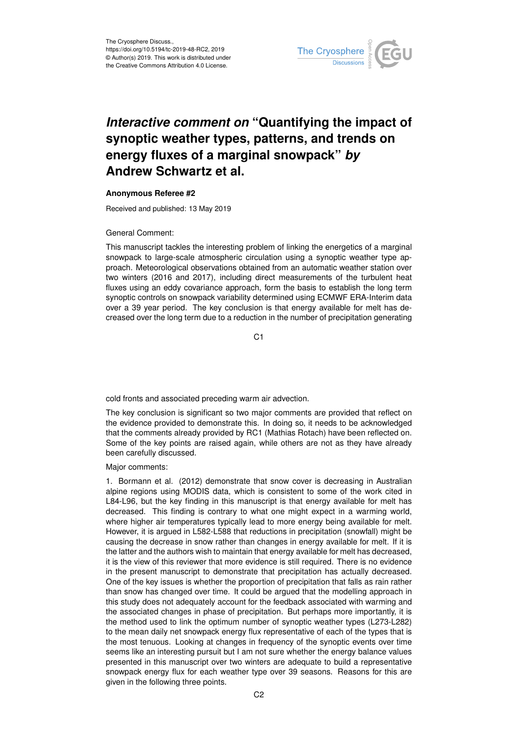

# *Interactive comment on* **"Quantifying the impact of synoptic weather types, patterns, and trends on energy fluxes of a marginal snowpack"** *by* **Andrew Schwartz et al.**

## **Anonymous Referee #2**

Received and published: 13 May 2019

## General Comment:

This manuscript tackles the interesting problem of linking the energetics of a marginal snowpack to large-scale atmospheric circulation using a synoptic weather type approach. Meteorological observations obtained from an automatic weather station over two winters (2016 and 2017), including direct measurements of the turbulent heat fluxes using an eddy covariance approach, form the basis to establish the long term synoptic controls on snowpack variability determined using ECMWF ERA-Interim data over a 39 year period. The key conclusion is that energy available for melt has decreased over the long term due to a reduction in the number of precipitation generating

C1

cold fronts and associated preceding warm air advection.

The key conclusion is significant so two major comments are provided that reflect on the evidence provided to demonstrate this. In doing so, it needs to be acknowledged that the comments already provided by RC1 (Mathias Rotach) have been reflected on. Some of the key points are raised again, while others are not as they have already been carefully discussed.

Major comments:

1. Bormann et al. (2012) demonstrate that snow cover is decreasing in Australian alpine regions using MODIS data, which is consistent to some of the work cited in L84-L96, but the key finding in this manuscript is that energy available for melt has decreased. This finding is contrary to what one might expect in a warming world, where higher air temperatures typically lead to more energy being available for melt. However, it is argued in L582-L588 that reductions in precipitation (snowfall) might be causing the decrease in snow rather than changes in energy available for melt. If it is the latter and the authors wish to maintain that energy available for melt has decreased, it is the view of this reviewer that more evidence is still required. There is no evidence in the present manuscript to demonstrate that precipitation has actually decreased. One of the key issues is whether the proportion of precipitation that falls as rain rather than snow has changed over time. It could be argued that the modelling approach in this study does not adequately account for the feedback associated with warming and the associated changes in phase of precipitation. But perhaps more importantly, it is the method used to link the optimum number of synoptic weather types (L273-L282) to the mean daily net snowpack energy flux representative of each of the types that is the most tenuous. Looking at changes in frequency of the synoptic events over time seems like an interesting pursuit but I am not sure whether the energy balance values presented in this manuscript over two winters are adequate to build a representative snowpack energy flux for each weather type over 39 seasons. Reasons for this are given in the following three points.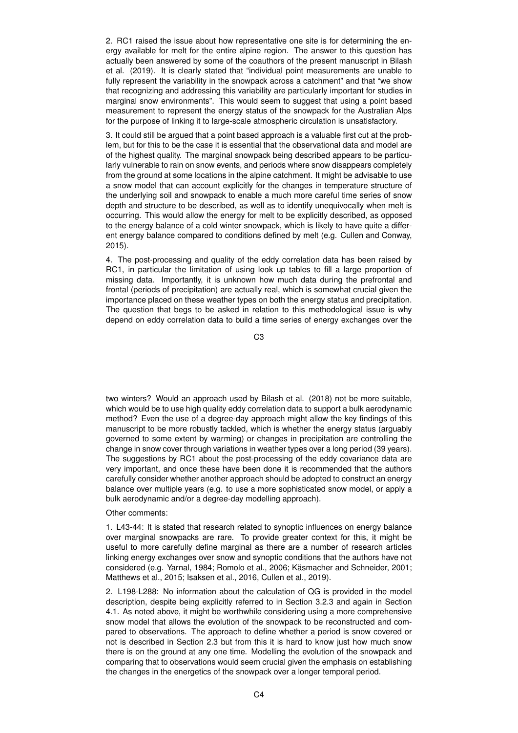2. RC1 raised the issue about how representative one site is for determining the energy available for melt for the entire alpine region. The answer to this question has actually been answered by some of the coauthors of the present manuscript in Bilash et al. (2019). It is clearly stated that "individual point measurements are unable to fully represent the variability in the snowpack across a catchment" and that "we show that recognizing and addressing this variability are particularly important for studies in marginal snow environments". This would seem to suggest that using a point based measurement to represent the energy status of the snowpack for the Australian Alps for the purpose of linking it to large-scale atmospheric circulation is unsatisfactory.

3. It could still be argued that a point based approach is a valuable first cut at the problem, but for this to be the case it is essential that the observational data and model are of the highest quality. The marginal snowpack being described appears to be particularly vulnerable to rain on snow events, and periods where snow disappears completely from the ground at some locations in the alpine catchment. It might be advisable to use a snow model that can account explicitly for the changes in temperature structure of the underlying soil and snowpack to enable a much more careful time series of snow depth and structure to be described, as well as to identify unequivocally when melt is occurring. This would allow the energy for melt to be explicitly described, as opposed to the energy balance of a cold winter snowpack, which is likely to have quite a different energy balance compared to conditions defined by melt (e.g. Cullen and Conway, 2015).

4. The post-processing and quality of the eddy correlation data has been raised by RC1, in particular the limitation of using look up tables to fill a large proportion of missing data. Importantly, it is unknown how much data during the prefrontal and frontal (periods of precipitation) are actually real, which is somewhat crucial given the importance placed on these weather types on both the energy status and precipitation. The question that begs to be asked in relation to this methodological issue is why depend on eddy correlation data to build a time series of energy exchanges over the

C3

two winters? Would an approach used by Bilash et al. (2018) not be more suitable, which would be to use high quality eddy correlation data to support a bulk aerodynamic method? Even the use of a degree-day approach might allow the key findings of this manuscript to be more robustly tackled, which is whether the energy status (arguably governed to some extent by warming) or changes in precipitation are controlling the change in snow cover through variations in weather types over a long period (39 years). The suggestions by RC1 about the post-processing of the eddy covariance data are very important, and once these have been done it is recommended that the authors carefully consider whether another approach should be adopted to construct an energy balance over multiple years (e.g. to use a more sophisticated snow model, or apply a bulk aerodynamic and/or a degree-day modelling approach).

## Other comments:

1. L43-44: It is stated that research related to synoptic influences on energy balance over marginal snowpacks are rare. To provide greater context for this, it might be useful to more carefully define marginal as there are a number of research articles linking energy exchanges over snow and synoptic conditions that the authors have not considered (e.g. Yarnal, 1984; Romolo et al., 2006; Käsmacher and Schneider, 2001; Matthews et al., 2015; Isaksen et al., 2016, Cullen et al., 2019).

2. L198-L288: No information about the calculation of QG is provided in the model description, despite being explicitly referred to in Section 3.2.3 and again in Section 4.1. As noted above, it might be worthwhile considering using a more comprehensive snow model that allows the evolution of the snowpack to be reconstructed and compared to observations. The approach to define whether a period is snow covered or not is described in Section 2.3 but from this it is hard to know just how much snow there is on the ground at any one time. Modelling the evolution of the snowpack and comparing that to observations would seem crucial given the emphasis on establishing the changes in the energetics of the snowpack over a longer temporal period.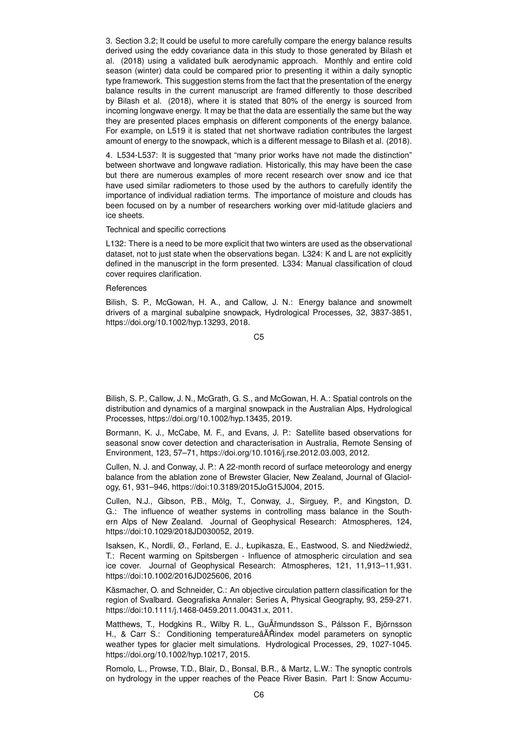3. Section 3.2; It could be useful to more carefully compare the energy balance results derived using the eddy covariance data in this study to those generated by Bilash et al. (2018) using a validated bulk aerodynamic approach. Monthly and entire cold season (winter) data could be compared prior to presenting it within a daily synoptic type framework. This suggestion stems from the fact that the presentation of the energy balance results in the current manuscript are framed differently to those described by Bilash et al. (2018), where it is stated that 80% of the energy is sourced from incoming longwave energy. It may be that the data are essentially the same but the way they are presented places emphasis on different components of the energy balance. For example, on L519 it is stated that net shortwave radiation contributes the largest amount of energy to the snowpack, which is a different message to Bilash et al. (2018).

4. L534-L537: It is suggested that "many prior works have not made the distinction" between shortwave and longwave radiation. Historically, this may have been the case but there are numerous examples of more recent research over snow and ice that have used similar radiometers to those used by the authors to carefully identify the importance of individual radiation terms. The importance of moisture and clouds has been focused on by a number of researchers working over mid-latitude glaciers and ice sheets.

## Technical and specific corrections

L132: There is a need to be more explicit that two winters are used as the observational dataset, not to just state when the observations began. L324: K and L are not explicitly defined in the manuscript in the form presented. L334: Manual classification of cloud cover requires clarification.

## **References**

Bilish, S. P., McGowan, H. A., and Callow, J. N.: Energy balance and snowmelt drivers of a marginal subalpine snowpack, Hydrological Processes, 32, 3837-3851, https://doi.org/10.1002/hyp.13293, 2018.

C5

Bilish, S. P., Callow, J. N., McGrath, G. S., and McGowan, H. A.: Spatial controls on the distribution and dynamics of a marginal snowpack in the Australian Alps, Hydrological Processes, https://doi.org/10.1002/hyp.13435, 2019.

Bormann, K. J., McCabe, M. F., and Evans, J. P.: Satellite based observations for seasonal snow cover detection and characterisation in Australia, Remote Sensing of Environment, 123, 57–71, https://doi.org/10.1016/j.rse.2012.03.003, 2012.

Cullen, N. J. and Conway, J. P.: A 22-month record of surface meteorology and energy balance from the ablation zone of Brewster Glacier, New Zealand, Journal of Glaciology, 61, 931–946, https://doi:10.3189/2015JoG15J004, 2015.

Cullen, N.J., Gibson, P.B., Mölg, T., Conway, J., Sirguey, P., and Kingston, D. G.: The influence of weather systems in controlling mass balance in the Southern Alps of New Zealand. Journal of Geophysical Research: Atmospheres, 124, https://doi:10.1029/2018JD030052, 2019.

Isaksen, K., Nordli, Ø., Førland, E. J., Łupikasza, E., Eastwood, S. and Niedźwiedź, T.: Recent warming on Spitsbergen - Influence of atmospheric circulation and sea ice cover. Journal of Geophysical Research: Atmospheres, 121, 11,913–11,931. https://doi:10.1002/2016JD025606, 2016

Käsmacher, O. and Schneider, C.: An objective circulation pattern classification for the region of Svalbard. Geografiska Annaler: Series A, Physical Geography, 93, 259-271. https://doi:10.1111/j.1468-0459.2011.00431.x, 2011.

Matthews, T., Hodgkins R., Wilby R. L., GuÃˇrmundsson S., Pálsson F., Björnsson H., & Carr S.: Conditioning temperatureâAT Rindex model parameters on synoptic weather types for glacier melt simulations. Hydrological Processes, 29, 1027-1045. https://doi.org/10.1002/hyp.10217, 2015.

Romolo, L., Prowse, T.D., Blair, D., Bonsal, B.R., & Martz, L.W.: The synoptic controls on hydrology in the upper reaches of the Peace River Basin. Part I: Snow Accumu